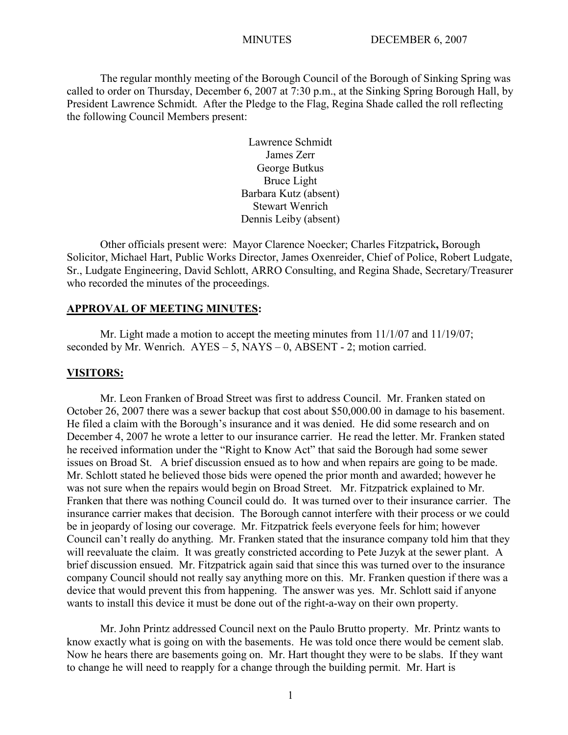The regular monthly meeting of the Borough Council of the Borough of Sinking Spring was called to order on Thursday, December 6, 2007 at 7:30 p.m., at the Sinking Spring Borough Hall, by President Lawrence Schmidt. After the Pledge to the Flag, Regina Shade called the roll reflecting the following Council Members present:

> Lawrence Schmidt James Zerr George Butkus Bruce Light Barbara Kutz (absent) Stewart Wenrich Dennis Leiby (absent)

Other officials present were: Mayor Clarence Noecker; Charles Fitzpatrick**,** Borough Solicitor, Michael Hart, Public Works Director, James Oxenreider, Chief of Police, Robert Ludgate, Sr., Ludgate Engineering, David Schlott, ARRO Consulting, and Regina Shade, Secretary/Treasurer who recorded the minutes of the proceedings.

### **APPROVAL OF MEETING MINUTES:**

Mr. Light made a motion to accept the meeting minutes from 11/1/07 and 11/19/07; seconded by Mr. Wenrich.  $AYES - 5$ ,  $NAYS - 0$ ,  $ABSENT - 2$ ; motion carried.

#### **VISITORS:**

Mr. Leon Franken of Broad Street was first to address Council. Mr. Franken stated on October 26, 2007 there was a sewer backup that cost about \$50,000.00 in damage to his basement. He filed a claim with the Borough's insurance and it was denied. He did some research and on December 4, 2007 he wrote a letter to our insurance carrier. He read the letter. Mr. Franken stated he received information under the "Right to Know Act" that said the Borough had some sewer issues on Broad St. A brief discussion ensued as to how and when repairs are going to be made. Mr. Schlott stated he believed those bids were opened the prior month and awarded; however he was not sure when the repairs would begin on Broad Street. Mr. Fitzpatrick explained to Mr. Franken that there was nothing Council could do. It was turned over to their insurance carrier. The insurance carrier makes that decision. The Borough cannot interfere with their process or we could be in jeopardy of losing our coverage. Mr. Fitzpatrick feels everyone feels for him; however Council can't really do anything. Mr. Franken stated that the insurance company told him that they will reevaluate the claim. It was greatly constricted according to Pete Juzyk at the sewer plant. A brief discussion ensued. Mr. Fitzpatrick again said that since this was turned over to the insurance company Council should not really say anything more on this. Mr. Franken question if there was a device that would prevent this from happening. The answer was yes. Mr. Schlott said if anyone wants to install this device it must be done out of the right-a-way on their own property.

Mr. John Printz addressed Council next on the Paulo Brutto property. Mr. Printz wants to know exactly what is going on with the basements. He was told once there would be cement slab. Now he hears there are basements going on. Mr. Hart thought they were to be slabs. If they want to change he will need to reapply for a change through the building permit. Mr. Hart is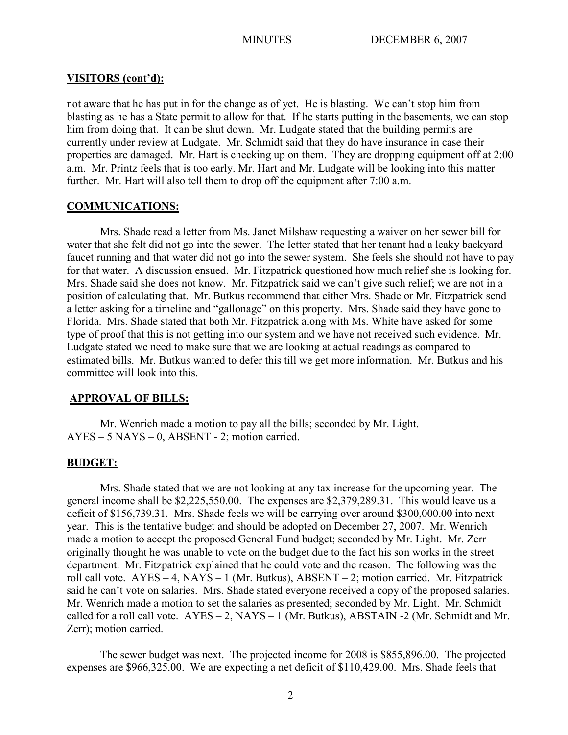#### **VISITORS (cont'd):**

not aware that he has put in for the change as of yet. He is blasting. We can't stop him from blasting as he has a State permit to allow for that. If he starts putting in the basements, we can stop him from doing that. It can be shut down. Mr. Ludgate stated that the building permits are currently under review at Ludgate. Mr. Schmidt said that they do have insurance in case their properties are damaged. Mr. Hart is checking up on them. They are dropping equipment off at 2:00 a.m. Mr. Printz feels that is too early. Mr. Hart and Mr. Ludgate will be looking into this matter further. Mr. Hart will also tell them to drop off the equipment after 7:00 a.m.

#### **COMMUNICATIONS:**

Mrs. Shade read a letter from Ms. Janet Milshaw requesting a waiver on her sewer bill for water that she felt did not go into the sewer. The letter stated that her tenant had a leaky backyard faucet running and that water did not go into the sewer system. She feels she should not have to pay for that water. A discussion ensued. Mr. Fitzpatrick questioned how much relief she is looking for. Mrs. Shade said she does not know. Mr. Fitzpatrick said we can't give such relief; we are not in a position of calculating that. Mr. Butkus recommend that either Mrs. Shade or Mr. Fitzpatrick send a letter asking for a timeline and "gallonage" on this property. Mrs. Shade said they have gone to Florida. Mrs. Shade stated that both Mr. Fitzpatrick along with Ms. White have asked for some type of proof that this is not getting into our system and we have not received such evidence. Mr. Ludgate stated we need to make sure that we are looking at actual readings as compared to estimated bills. Mr. Butkus wanted to defer this till we get more information. Mr. Butkus and his committee will look into this.

## **APPROVAL OF BILLS:**

Mr. Wenrich made a motion to pay all the bills; seconded by Mr. Light. AYES – 5 NAYS – 0, ABSENT - 2; motion carried.

#### **BUDGET:**

Mrs. Shade stated that we are not looking at any tax increase for the upcoming year. The general income shall be \$2,225,550.00. The expenses are \$2,379,289.31. This would leave us a deficit of \$156,739.31. Mrs. Shade feels we will be carrying over around \$300,000.00 into next year. This is the tentative budget and should be adopted on December 27, 2007. Mr. Wenrich made a motion to accept the proposed General Fund budget; seconded by Mr. Light. Mr. Zerr originally thought he was unable to vote on the budget due to the fact his son works in the street department. Mr. Fitzpatrick explained that he could vote and the reason. The following was the roll call vote. AYES – 4, NAYS – 1 (Mr. Butkus), ABSENT – 2; motion carried. Mr. Fitzpatrick said he can't vote on salaries. Mrs. Shade stated everyone received a copy of the proposed salaries. Mr. Wenrich made a motion to set the salaries as presented; seconded by Mr. Light. Mr. Schmidt called for a roll call vote.  $AYES - 2$ ,  $NAYS - 1$  (Mr. Butkus), ABSTAIN -2 (Mr. Schmidt and Mr. Zerr); motion carried.

The sewer budget was next. The projected income for 2008 is \$855,896.00. The projected expenses are \$966,325.00. We are expecting a net deficit of \$110,429.00. Mrs. Shade feels that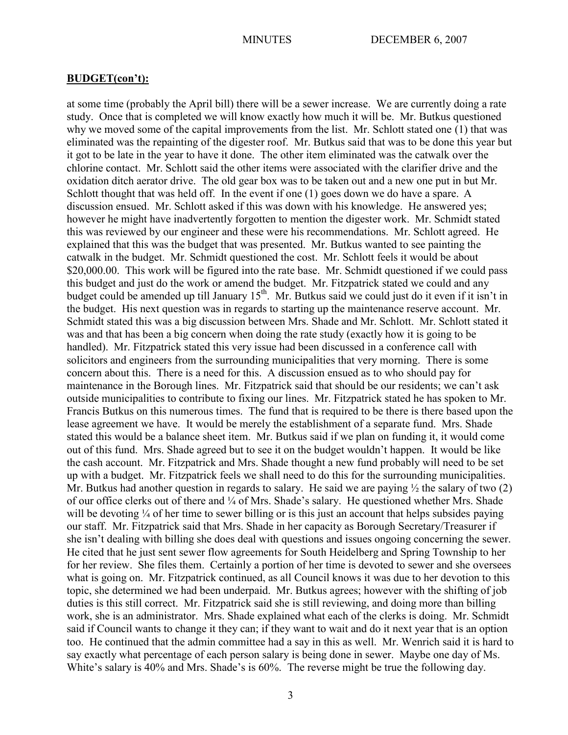### **BUDGET(con't):**

at some time (probably the April bill) there will be a sewer increase. We are currently doing a rate study. Once that is completed we will know exactly how much it will be. Mr. Butkus questioned why we moved some of the capital improvements from the list. Mr. Schlott stated one (1) that was eliminated was the repainting of the digester roof. Mr. Butkus said that was to be done this year but it got to be late in the year to have it done. The other item eliminated was the catwalk over the chlorine contact. Mr. Schlott said the other items were associated with the clarifier drive and the oxidation ditch aerator drive. The old gear box was to be taken out and a new one put in but Mr. Schlott thought that was held off. In the event if one (1) goes down we do have a spare. A discussion ensued. Mr. Schlott asked if this was down with his knowledge. He answered yes; however he might have inadvertently forgotten to mention the digester work. Mr. Schmidt stated this was reviewed by our engineer and these were his recommendations. Mr. Schlott agreed. He explained that this was the budget that was presented. Mr. Butkus wanted to see painting the catwalk in the budget. Mr. Schmidt questioned the cost. Mr. Schlott feels it would be about \$20,000.00. This work will be figured into the rate base. Mr. Schmidt questioned if we could pass this budget and just do the work or amend the budget. Mr. Fitzpatrick stated we could and any budget could be amended up till January 15<sup>th</sup>. Mr. Butkus said we could just do it even if it isn't in the budget. His next question was in regards to starting up the maintenance reserve account. Mr. Schmidt stated this was a big discussion between Mrs. Shade and Mr. Schlott. Mr. Schlott stated it was and that has been a big concern when doing the rate study (exactly how it is going to be handled). Mr. Fitzpatrick stated this very issue had been discussed in a conference call with solicitors and engineers from the surrounding municipalities that very morning. There is some concern about this. There is a need for this. A discussion ensued as to who should pay for maintenance in the Borough lines. Mr. Fitzpatrick said that should be our residents; we can't ask outside municipalities to contribute to fixing our lines. Mr. Fitzpatrick stated he has spoken to Mr. Francis Butkus on this numerous times. The fund that is required to be there is there based upon the lease agreement we have. It would be merely the establishment of a separate fund. Mrs. Shade stated this would be a balance sheet item. Mr. Butkus said if we plan on funding it, it would come out of this fund. Mrs. Shade agreed but to see it on the budget wouldn't happen. It would be like the cash account. Mr. Fitzpatrick and Mrs. Shade thought a new fund probably will need to be set up with a budget. Mr. Fitzpatrick feels we shall need to do this for the surrounding municipalities. Mr. Butkus had another question in regards to salary. He said we are paying  $\frac{1}{2}$  the salary of two (2) of our office clerks out of there and ¼ of Mrs. Shade's salary. He questioned whether Mrs. Shade will be devoting <sup>1</sup>/4 of her time to sewer billing or is this just an account that helps subsides paying our staff. Mr. Fitzpatrick said that Mrs. Shade in her capacity as Borough Secretary/Treasurer if she isn't dealing with billing she does deal with questions and issues ongoing concerning the sewer. He cited that he just sent sewer flow agreements for South Heidelberg and Spring Township to her for her review. She files them. Certainly a portion of her time is devoted to sewer and she oversees what is going on. Mr. Fitzpatrick continued, as all Council knows it was due to her devotion to this topic, she determined we had been underpaid. Mr. Butkus agrees; however with the shifting of job duties is this still correct. Mr. Fitzpatrick said she is still reviewing, and doing more than billing work, she is an administrator. Mrs. Shade explained what each of the clerks is doing. Mr. Schmidt said if Council wants to change it they can; if they want to wait and do it next year that is an option too. He continued that the admin committee had a say in this as well. Mr. Wenrich said it is hard to say exactly what percentage of each person salary is being done in sewer. Maybe one day of Ms. White's salary is 40% and Mrs. Shade's is 60%. The reverse might be true the following day.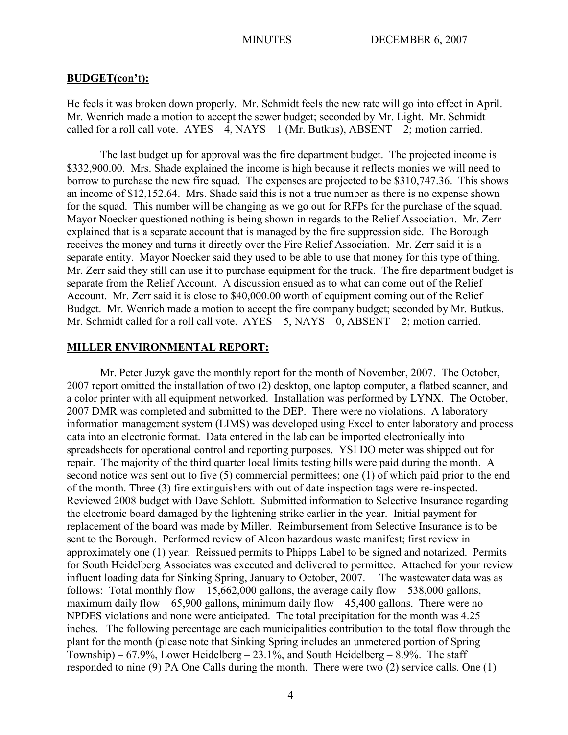#### **BUDGET(con't):**

He feels it was broken down properly. Mr. Schmidt feels the new rate will go into effect in April. Mr. Wenrich made a motion to accept the sewer budget; seconded by Mr. Light. Mr. Schmidt called for a roll call vote.  $AYES - 4$ ,  $NAYS - 1$  (Mr. Butkus),  $ABSENT - 2$ ; motion carried.

The last budget up for approval was the fire department budget. The projected income is \$332,900.00. Mrs. Shade explained the income is high because it reflects monies we will need to borrow to purchase the new fire squad. The expenses are projected to be \$310,747.36. This shows an income of \$12,152.64. Mrs. Shade said this is not a true number as there is no expense shown for the squad. This number will be changing as we go out for RFPs for the purchase of the squad. Mayor Noecker questioned nothing is being shown in regards to the Relief Association. Mr. Zerr explained that is a separate account that is managed by the fire suppression side. The Borough receives the money and turns it directly over the Fire Relief Association. Mr. Zerr said it is a separate entity. Mayor Noecker said they used to be able to use that money for this type of thing. Mr. Zerr said they still can use it to purchase equipment for the truck. The fire department budget is separate from the Relief Account. A discussion ensued as to what can come out of the Relief Account. Mr. Zerr said it is close to \$40,000.00 worth of equipment coming out of the Relief Budget. Mr. Wenrich made a motion to accept the fire company budget; seconded by Mr. Butkus. Mr. Schmidt called for a roll call vote. AYES – 5, NAYS – 0, ABSENT – 2; motion carried.

#### **MILLER ENVIRONMENTAL REPORT:**

Mr. Peter Juzyk gave the monthly report for the month of November, 2007. The October, 2007 report omitted the installation of two (2) desktop, one laptop computer, a flatbed scanner, and a color printer with all equipment networked. Installation was performed by LYNX. The October, 2007 DMR was completed and submitted to the DEP. There were no violations. A laboratory information management system (LIMS) was developed using Excel to enter laboratory and process data into an electronic format. Data entered in the lab can be imported electronically into spreadsheets for operational control and reporting purposes. YSI DO meter was shipped out for repair. The majority of the third quarter local limits testing bills were paid during the month. A second notice was sent out to five (5) commercial permittees; one (1) of which paid prior to the end of the month. Three (3) fire extinguishers with out of date inspection tags were re-inspected. Reviewed 2008 budget with Dave Schlott. Submitted information to Selective Insurance regarding the electronic board damaged by the lightening strike earlier in the year. Initial payment for replacement of the board was made by Miller. Reimbursement from Selective Insurance is to be sent to the Borough. Performed review of Alcon hazardous waste manifest; first review in approximately one (1) year. Reissued permits to Phipps Label to be signed and notarized. Permits for South Heidelberg Associates was executed and delivered to permittee. Attached for your review influent loading data for Sinking Spring, January to October, 2007. The wastewater data was as follows: Total monthly flow  $-15,662,000$  gallons, the average daily flow  $-538,000$  gallons, maximum daily flow  $-65,900$  gallons, minimum daily flow  $-45,400$  gallons. There were no NPDES violations and none were anticipated. The total precipitation for the month was 4.25 inches. The following percentage are each municipalities contribution to the total flow through the plant for the month (please note that Sinking Spring includes an unmetered portion of Spring Township) – 67.9%, Lower Heidelberg – 23.1%, and South Heidelberg – 8.9%. The staff responded to nine (9) PA One Calls during the month. There were two (2) service calls. One (1)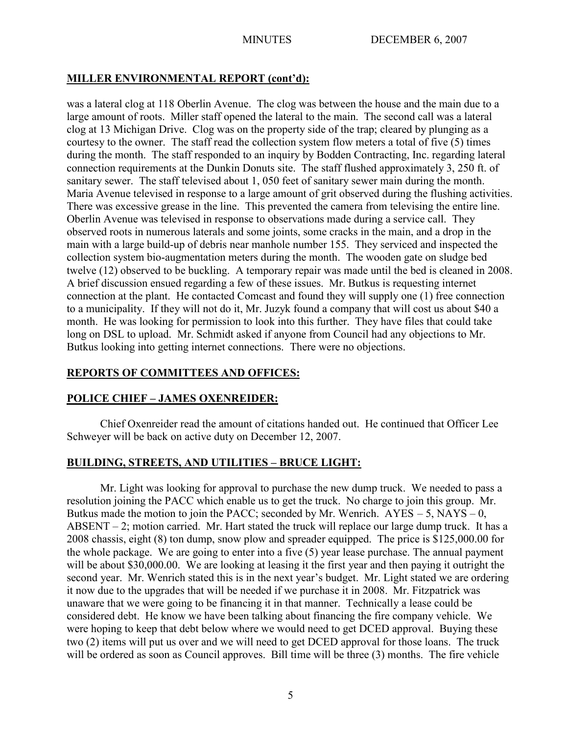# **MILLER ENVIRONMENTAL REPORT (cont'd):**

was a lateral clog at 118 Oberlin Avenue. The clog was between the house and the main due to a large amount of roots. Miller staff opened the lateral to the main. The second call was a lateral clog at 13 Michigan Drive. Clog was on the property side of the trap; cleared by plunging as a courtesy to the owner. The staff read the collection system flow meters a total of five (5) times during the month. The staff responded to an inquiry by Bodden Contracting, Inc. regarding lateral connection requirements at the Dunkin Donuts site. The staff flushed approximately 3, 250 ft. of sanitary sewer. The staff televised about 1, 050 feet of sanitary sewer main during the month. Maria Avenue televised in response to a large amount of grit observed during the flushing activities. There was excessive grease in the line. This prevented the camera from televising the entire line. Oberlin Avenue was televised in response to observations made during a service call. They observed roots in numerous laterals and some joints, some cracks in the main, and a drop in the main with a large build-up of debris near manhole number 155. They serviced and inspected the collection system bio-augmentation meters during the month. The wooden gate on sludge bed twelve (12) observed to be buckling. A temporary repair was made until the bed is cleaned in 2008. A brief discussion ensued regarding a few of these issues. Mr. Butkus is requesting internet connection at the plant. He contacted Comcast and found they will supply one (1) free connection to a municipality. If they will not do it, Mr. Juzyk found a company that will cost us about \$40 a month. He was looking for permission to look into this further. They have files that could take long on DSL to upload. Mr. Schmidt asked if anyone from Council had any objections to Mr. Butkus looking into getting internet connections. There were no objections.

# **REPORTS OF COMMITTEES AND OFFICES:**

# **POLICE CHIEF – JAMES OXENREIDER:**

Chief Oxenreider read the amount of citations handed out. He continued that Officer Lee Schweyer will be back on active duty on December 12, 2007.

# **BUILDING, STREETS, AND UTILITIES – BRUCE LIGHT:**

Mr. Light was looking for approval to purchase the new dump truck. We needed to pass a resolution joining the PACC which enable us to get the truck. No charge to join this group. Mr. Butkus made the motion to join the PACC; seconded by Mr. Wenrich.  $AYES - 5$ , NAYS – 0, ABSENT – 2; motion carried. Mr. Hart stated the truck will replace our large dump truck. It has a 2008 chassis, eight (8) ton dump, snow plow and spreader equipped. The price is \$125,000.00 for the whole package. We are going to enter into a five (5) year lease purchase. The annual payment will be about \$30,000.00. We are looking at leasing it the first year and then paying it outright the second year. Mr. Wenrich stated this is in the next year's budget. Mr. Light stated we are ordering it now due to the upgrades that will be needed if we purchase it in 2008. Mr. Fitzpatrick was unaware that we were going to be financing it in that manner. Technically a lease could be considered debt. He know we have been talking about financing the fire company vehicle. We were hoping to keep that debt below where we would need to get DCED approval. Buying these two (2) items will put us over and we will need to get DCED approval for those loans. The truck will be ordered as soon as Council approves. Bill time will be three (3) months. The fire vehicle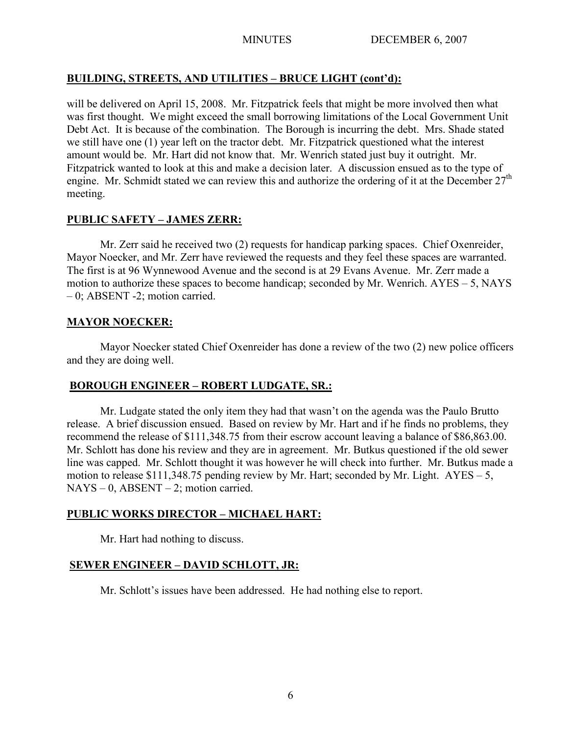# **BUILDING, STREETS, AND UTILITIES – BRUCE LIGHT (cont'd):**

will be delivered on April 15, 2008. Mr. Fitzpatrick feels that might be more involved then what was first thought. We might exceed the small borrowing limitations of the Local Government Unit Debt Act. It is because of the combination. The Borough is incurring the debt. Mrs. Shade stated we still have one (1) year left on the tractor debt. Mr. Fitzpatrick questioned what the interest amount would be. Mr. Hart did not know that. Mr. Wenrich stated just buy it outright. Mr. Fitzpatrick wanted to look at this and make a decision later. A discussion ensued as to the type of engine. Mr. Schmidt stated we can review this and authorize the ordering of it at the December 27<sup>th</sup> meeting.

# **PUBLIC SAFETY – JAMES ZERR:**

Mr. Zerr said he received two (2) requests for handicap parking spaces. Chief Oxenreider, Mayor Noecker, and Mr. Zerr have reviewed the requests and they feel these spaces are warranted. The first is at 96 Wynnewood Avenue and the second is at 29 Evans Avenue. Mr. Zerr made a motion to authorize these spaces to become handicap; seconded by Mr. Wenrich. AYES – 5, NAYS – 0; ABSENT -2; motion carried.

# **MAYOR NOECKER:**

Mayor Noecker stated Chief Oxenreider has done a review of the two (2) new police officers and they are doing well.

# **BOROUGH ENGINEER – ROBERT LUDGATE, SR.:**

Mr. Ludgate stated the only item they had that wasn't on the agenda was the Paulo Brutto release. A brief discussion ensued. Based on review by Mr. Hart and if he finds no problems, they recommend the release of \$111,348.75 from their escrow account leaving a balance of \$86,863.00. Mr. Schlott has done his review and they are in agreement. Mr. Butkus questioned if the old sewer line was capped. Mr. Schlott thought it was however he will check into further. Mr. Butkus made a motion to release \$111,348.75 pending review by Mr. Hart; seconded by Mr. Light.  $AYES - 5$ ,  $NAYS - 0$ ,  $ABSENT - 2$ ; motion carried.

# **PUBLIC WORKS DIRECTOR – MICHAEL HART:**

Mr. Hart had nothing to discuss.

# **SEWER ENGINEER – DAVID SCHLOTT, JR:**

Mr. Schlott's issues have been addressed. He had nothing else to report.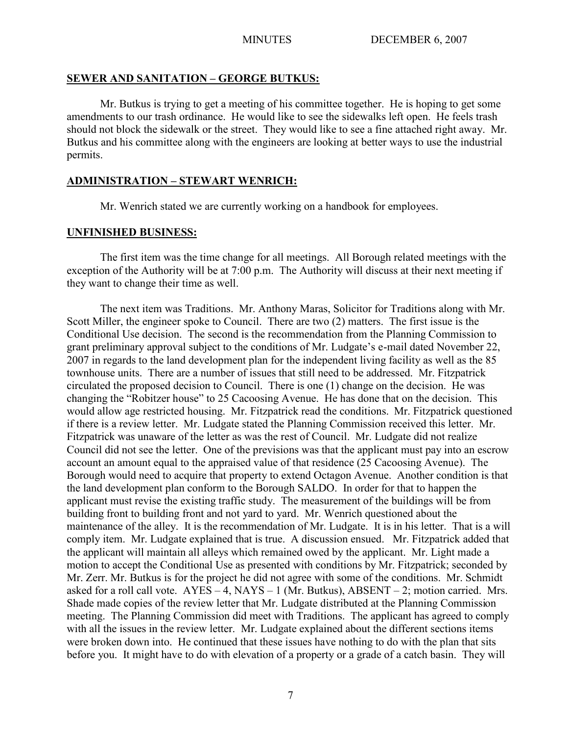#### **SEWER AND SANITATION – GEORGE BUTKUS:**

Mr. Butkus is trying to get a meeting of his committee together. He is hoping to get some amendments to our trash ordinance. He would like to see the sidewalks left open. He feels trash should not block the sidewalk or the street. They would like to see a fine attached right away. Mr. Butkus and his committee along with the engineers are looking at better ways to use the industrial permits.

#### **ADMINISTRATION – STEWART WENRICH:**

Mr. Wenrich stated we are currently working on a handbook for employees.

## **UNFINISHED BUSINESS:**

The first item was the time change for all meetings. All Borough related meetings with the exception of the Authority will be at 7:00 p.m. The Authority will discuss at their next meeting if they want to change their time as well.

The next item was Traditions. Mr. Anthony Maras, Solicitor for Traditions along with Mr. Scott Miller, the engineer spoke to Council. There are two (2) matters. The first issue is the Conditional Use decision. The second is the recommendation from the Planning Commission to grant preliminary approval subject to the conditions of Mr. Ludgate's e-mail dated November 22, 2007 in regards to the land development plan for the independent living facility as well as the 85 townhouse units. There are a number of issues that still need to be addressed. Mr. Fitzpatrick circulated the proposed decision to Council. There is one (1) change on the decision. He was changing the "Robitzer house" to 25 Cacoosing Avenue. He has done that on the decision. This would allow age restricted housing. Mr. Fitzpatrick read the conditions. Mr. Fitzpatrick questioned if there is a review letter. Mr. Ludgate stated the Planning Commission received this letter. Mr. Fitzpatrick was unaware of the letter as was the rest of Council. Mr. Ludgate did not realize Council did not see the letter. One of the previsions was that the applicant must pay into an escrow account an amount equal to the appraised value of that residence (25 Cacoosing Avenue). The Borough would need to acquire that property to extend Octagon Avenue. Another condition is that the land development plan conform to the Borough SALDO. In order for that to happen the applicant must revise the existing traffic study. The measurement of the buildings will be from building front to building front and not yard to yard. Mr. Wenrich questioned about the maintenance of the alley. It is the recommendation of Mr. Ludgate. It is in his letter. That is a will comply item. Mr. Ludgate explained that is true. A discussion ensued. Mr. Fitzpatrick added that the applicant will maintain all alleys which remained owed by the applicant. Mr. Light made a motion to accept the Conditional Use as presented with conditions by Mr. Fitzpatrick; seconded by Mr. Zerr. Mr. Butkus is for the project he did not agree with some of the conditions. Mr. Schmidt asked for a roll call vote.  $AYES - 4$ ,  $NAYS - 1$  (Mr. Butkus),  $ABSENT - 2$ ; motion carried. Mrs. Shade made copies of the review letter that Mr. Ludgate distributed at the Planning Commission meeting. The Planning Commission did meet with Traditions. The applicant has agreed to comply with all the issues in the review letter. Mr. Ludgate explained about the different sections items were broken down into. He continued that these issues have nothing to do with the plan that sits before you. It might have to do with elevation of a property or a grade of a catch basin. They will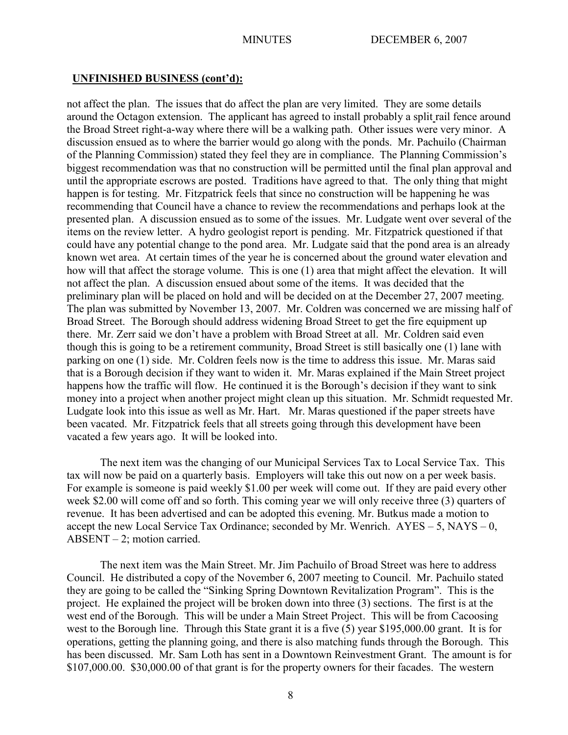### **UNFINISHED BUSINESS (cont'd):**

not affect the plan. The issues that do affect the plan are very limited. They are some details around the Octagon extension. The applicant has agreed to install probably a split rail fence around the Broad Street right-a-way where there will be a walking path. Other issues were very minor. A discussion ensued as to where the barrier would go along with the ponds. Mr. Pachuilo (Chairman of the Planning Commission) stated they feel they are in compliance. The Planning Commission's biggest recommendation was that no construction will be permitted until the final plan approval and until the appropriate escrows are posted. Traditions have agreed to that. The only thing that might happen is for testing. Mr. Fitzpatrick feels that since no construction will be happening he was recommending that Council have a chance to review the recommendations and perhaps look at the presented plan. A discussion ensued as to some of the issues. Mr. Ludgate went over several of the items on the review letter. A hydro geologist report is pending. Mr. Fitzpatrick questioned if that could have any potential change to the pond area. Mr. Ludgate said that the pond area is an already known wet area. At certain times of the year he is concerned about the ground water elevation and how will that affect the storage volume. This is one (1) area that might affect the elevation. It will not affect the plan. A discussion ensued about some of the items. It was decided that the preliminary plan will be placed on hold and will be decided on at the December 27, 2007 meeting. The plan was submitted by November 13, 2007. Mr. Coldren was concerned we are missing half of Broad Street. The Borough should address widening Broad Street to get the fire equipment up there. Mr. Zerr said we don't have a problem with Broad Street at all. Mr. Coldren said even though this is going to be a retirement community, Broad Street is still basically one (1) lane with parking on one (1) side. Mr. Coldren feels now is the time to address this issue. Mr. Maras said that is a Borough decision if they want to widen it. Mr. Maras explained if the Main Street project happens how the traffic will flow. He continued it is the Borough's decision if they want to sink money into a project when another project might clean up this situation. Mr. Schmidt requested Mr. Ludgate look into this issue as well as Mr. Hart. Mr. Maras questioned if the paper streets have been vacated. Mr. Fitzpatrick feels that all streets going through this development have been vacated a few years ago. It will be looked into.

The next item was the changing of our Municipal Services Tax to Local Service Tax. This tax will now be paid on a quarterly basis. Employers will take this out now on a per week basis. For example is someone is paid weekly \$1.00 per week will come out. If they are paid every other week \$2.00 will come off and so forth. This coming year we will only receive three (3) quarters of revenue. It has been advertised and can be adopted this evening. Mr. Butkus made a motion to accept the new Local Service Tax Ordinance; seconded by Mr. Wenrich.  $AYES - 5$ ,  $NAYS - 0$ , ABSENT – 2; motion carried.

The next item was the Main Street. Mr. Jim Pachuilo of Broad Street was here to address Council. He distributed a copy of the November 6, 2007 meeting to Council. Mr. Pachuilo stated they are going to be called the "Sinking Spring Downtown Revitalization Program". This is the project. He explained the project will be broken down into three (3) sections. The first is at the west end of the Borough. This will be under a Main Street Project. This will be from Cacoosing west to the Borough line. Through this State grant it is a five (5) year \$195,000.00 grant. It is for operations, getting the planning going, and there is also matching funds through the Borough. This has been discussed. Mr. Sam Loth has sent in a Downtown Reinvestment Grant. The amount is for \$107,000.00. \$30,000.00 of that grant is for the property owners for their facades. The western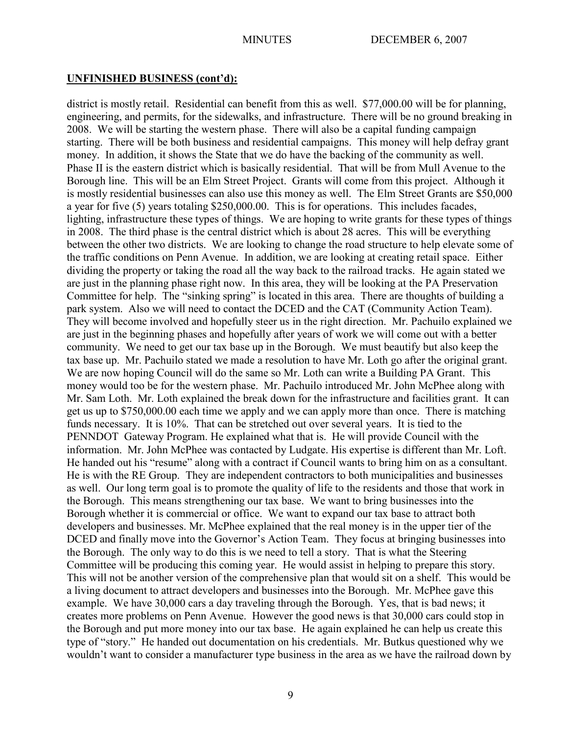### **UNFINISHED BUSINESS (cont'd):**

district is mostly retail. Residential can benefit from this as well. \$77,000.00 will be for planning, engineering, and permits, for the sidewalks, and infrastructure. There will be no ground breaking in 2008. We will be starting the western phase. There will also be a capital funding campaign starting. There will be both business and residential campaigns. This money will help defray grant money. In addition, it shows the State that we do have the backing of the community as well. Phase II is the eastern district which is basically residential. That will be from Mull Avenue to the Borough line. This will be an Elm Street Project. Grants will come from this project. Although it is mostly residential businesses can also use this money as well. The Elm Street Grants are \$50,000 a year for five (5) years totaling \$250,000.00. This is for operations. This includes facades, lighting, infrastructure these types of things. We are hoping to write grants for these types of things in 2008. The third phase is the central district which is about 28 acres. This will be everything between the other two districts. We are looking to change the road structure to help elevate some of the traffic conditions on Penn Avenue. In addition, we are looking at creating retail space. Either dividing the property or taking the road all the way back to the railroad tracks. He again stated we are just in the planning phase right now. In this area, they will be looking at the PA Preservation Committee for help. The "sinking spring" is located in this area. There are thoughts of building a park system. Also we will need to contact the DCED and the CAT (Community Action Team). They will become involved and hopefully steer us in the right direction. Mr. Pachuilo explained we are just in the beginning phases and hopefully after years of work we will come out with a better community. We need to get our tax base up in the Borough. We must beautify but also keep the tax base up. Mr. Pachuilo stated we made a resolution to have Mr. Loth go after the original grant. We are now hoping Council will do the same so Mr. Loth can write a Building PA Grant. This money would too be for the western phase. Mr. Pachuilo introduced Mr. John McPhee along with Mr. Sam Loth. Mr. Loth explained the break down for the infrastructure and facilities grant. It can get us up to \$750,000.00 each time we apply and we can apply more than once. There is matching funds necessary. It is 10%. That can be stretched out over several years. It is tied to the PENNDOT Gateway Program. He explained what that is. He will provide Council with the information. Mr. John McPhee was contacted by Ludgate. His expertise is different than Mr. Loft. He handed out his "resume" along with a contract if Council wants to bring him on as a consultant. He is with the RE Group. They are independent contractors to both municipalities and businesses as well. Our long term goal is to promote the quality of life to the residents and those that work in the Borough. This means strengthening our tax base. We want to bring businesses into the Borough whether it is commercial or office. We want to expand our tax base to attract both developers and businesses. Mr. McPhee explained that the real money is in the upper tier of the DCED and finally move into the Governor's Action Team. They focus at bringing businesses into the Borough. The only way to do this is we need to tell a story. That is what the Steering Committee will be producing this coming year. He would assist in helping to prepare this story. This will not be another version of the comprehensive plan that would sit on a shelf. This would be a living document to attract developers and businesses into the Borough. Mr. McPhee gave this example. We have 30,000 cars a day traveling through the Borough. Yes, that is bad news; it creates more problems on Penn Avenue. However the good news is that 30,000 cars could stop in the Borough and put more money into our tax base. He again explained he can help us create this type of "story." He handed out documentation on his credentials. Mr. Butkus questioned why we wouldn't want to consider a manufacturer type business in the area as we have the railroad down by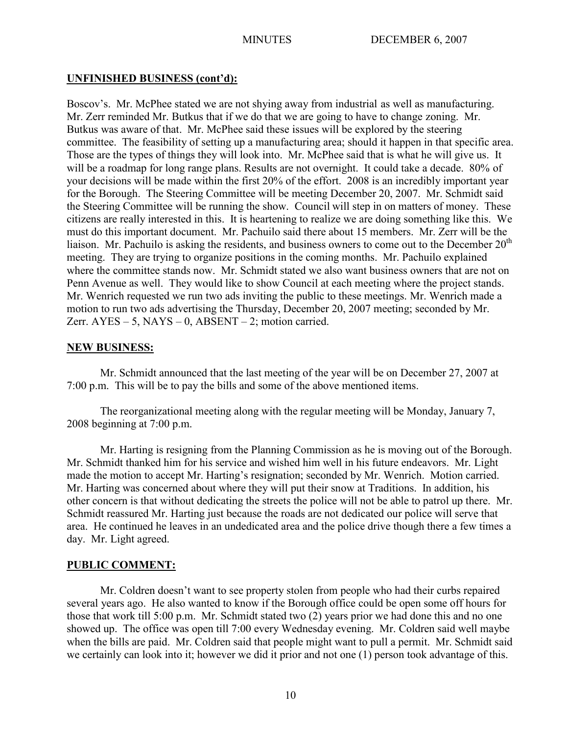## **UNFINISHED BUSINESS (cont'd):**

Boscov's. Mr. McPhee stated we are not shying away from industrial as well as manufacturing. Mr. Zerr reminded Mr. Butkus that if we do that we are going to have to change zoning. Mr. Butkus was aware of that. Mr. McPhee said these issues will be explored by the steering committee. The feasibility of setting up a manufacturing area; should it happen in that specific area. Those are the types of things they will look into. Mr. McPhee said that is what he will give us. It will be a roadmap for long range plans. Results are not overnight. It could take a decade. 80% of your decisions will be made within the first 20% of the effort. 2008 is an incredibly important year for the Borough. The Steering Committee will be meeting December 20, 2007. Mr. Schmidt said the Steering Committee will be running the show. Council will step in on matters of money. These citizens are really interested in this. It is heartening to realize we are doing something like this. We must do this important document. Mr. Pachuilo said there about 15 members. Mr. Zerr will be the liaison. Mr. Pachuilo is asking the residents, and business owners to come out to the December  $20<sup>th</sup>$ meeting. They are trying to organize positions in the coming months. Mr. Pachuilo explained where the committee stands now. Mr. Schmidt stated we also want business owners that are not on Penn Avenue as well. They would like to show Council at each meeting where the project stands. Mr. Wenrich requested we run two ads inviting the public to these meetings. Mr. Wenrich made a motion to run two ads advertising the Thursday, December 20, 2007 meeting; seconded by Mr. Zerr.  $AYES - 5$ ,  $NAYS - 0$ ,  $ABSENT - 2$ ; motion carried.

## **NEW BUSINESS:**

Mr. Schmidt announced that the last meeting of the year will be on December 27, 2007 at 7:00 p.m. This will be to pay the bills and some of the above mentioned items.

The reorganizational meeting along with the regular meeting will be Monday, January 7, 2008 beginning at 7:00 p.m.

Mr. Harting is resigning from the Planning Commission as he is moving out of the Borough. Mr. Schmidt thanked him for his service and wished him well in his future endeavors. Mr. Light made the motion to accept Mr. Harting's resignation; seconded by Mr. Wenrich. Motion carried. Mr. Harting was concerned about where they will put their snow at Traditions. In addition, his other concern is that without dedicating the streets the police will not be able to patrol up there. Mr. Schmidt reassured Mr. Harting just because the roads are not dedicated our police will serve that area. He continued he leaves in an undedicated area and the police drive though there a few times a day. Mr. Light agreed.

# **PUBLIC COMMENT:**

Mr. Coldren doesn't want to see property stolen from people who had their curbs repaired several years ago. He also wanted to know if the Borough office could be open some off hours for those that work till 5:00 p.m. Mr. Schmidt stated two (2) years prior we had done this and no one showed up. The office was open till 7:00 every Wednesday evening. Mr. Coldren said well maybe when the bills are paid. Mr. Coldren said that people might want to pull a permit. Mr. Schmidt said we certainly can look into it; however we did it prior and not one (1) person took advantage of this.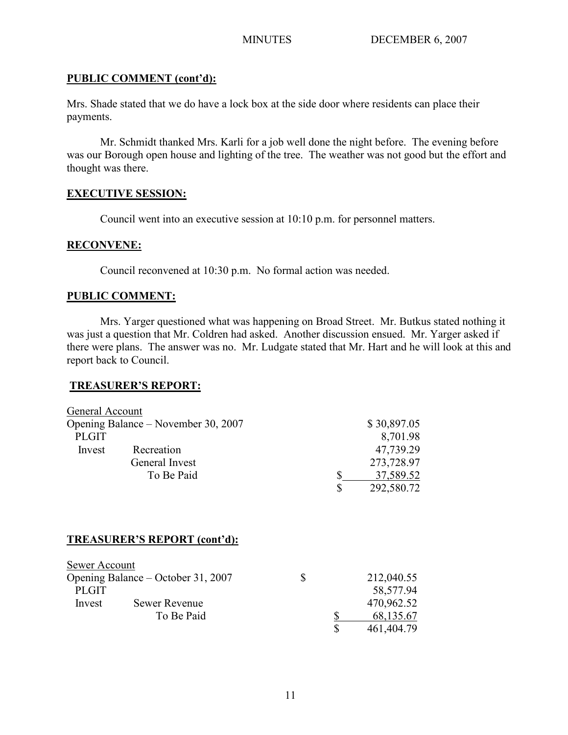## **PUBLIC COMMENT (cont'd):**

Mrs. Shade stated that we do have a lock box at the side door where residents can place their payments.

Mr. Schmidt thanked Mrs. Karli for a job well done the night before. The evening before was our Borough open house and lighting of the tree. The weather was not good but the effort and thought was there.

## **EXECUTIVE SESSION:**

Council went into an executive session at 10:10 p.m. for personnel matters.

# **RECONVENE:**

Council reconvened at 10:30 p.m. No formal action was needed.

## **PUBLIC COMMENT:**

Mrs. Yarger questioned what was happening on Broad Street. Mr. Butkus stated nothing it was just a question that Mr. Coldren had asked. Another discussion ensued. Mr. Yarger asked if there were plans. The answer was no. Mr. Ludgate stated that Mr. Hart and he will look at this and report back to Council.

## **TREASURER'S REPORT:**

| General Account                     |                              |    |             |             |
|-------------------------------------|------------------------------|----|-------------|-------------|
| Opening Balance - November 30, 2007 |                              |    |             | \$30,897.05 |
| <b>PLGIT</b>                        |                              |    |             | 8,701.98    |
| Invest                              | Recreation                   |    |             | 47,739.29   |
|                                     | General Invest               |    |             | 273,728.97  |
|                                     | To Be Paid                   |    | \$          | 37,589.52   |
|                                     |                              |    | $\mathbf S$ | 292,580.72  |
|                                     | TREASURER'S REPORT (cont'd): |    |             |             |
| Sewer Account                       |                              |    |             |             |
| Opening Balance – October 31, 2007  |                              | \$ |             | 212,040.55  |
| <b>PLGIT</b>                        |                              |    |             | 58,577.94   |
| Invest                              | Sewer Revenue                |    |             | 470,962.52  |
|                                     | To Be Paid                   |    | <u>\$</u>   | 68,135.67   |
|                                     |                              |    | \$          | 461,404.79  |